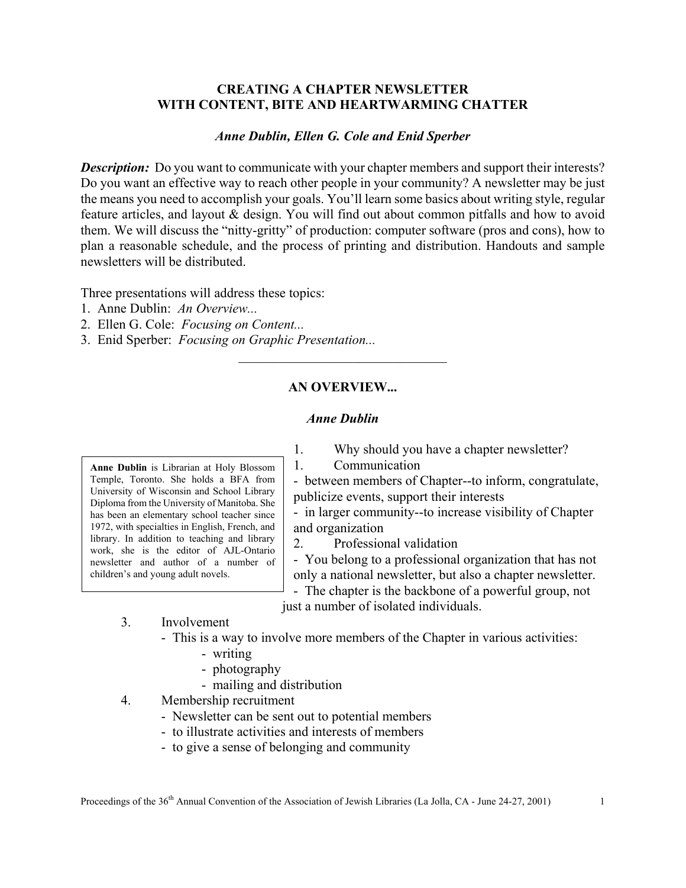## **CREATING A CHAPTER NEWSLETTER WITH CONTENT, BITE AND HEARTWARMING CHATTER**

### *Anne Dublin, Ellen G. Cole and Enid Sperber*

*Description:* Do you want to communicate with your chapter members and support their interests? Do you want an effective way to reach other people in your community? A newsletter may be just the means you need to accomplish your goals. You'll learn some basics about writing style, regular feature articles, and layout & design. You will find out about common pitfalls and how to avoid them. We will discuss the "nitty-gritty" of production: computer software (pros and cons), how to plan a reasonable schedule, and the process of printing and distribution. Handouts and sample newsletters will be distributed.

Three presentations will address these topics:

- 1. Anne Dublin: *An Overview...*
- 2. Ellen G. Cole: *Focusing on Content...*
- 3. Enid Sperber: *Focusing on Graphic Presentation...*

## **AN OVERVIEW...**

 $\mathcal{L}_\text{max}$  , where  $\mathcal{L}_\text{max}$  and  $\mathcal{L}_\text{max}$ 

#### *Anne Dublin*

**Anne Dublin** is Librarian at Holy Blossom Temple, Toronto. She holds a BFA from University of Wisconsin and School Library Diploma from the University of Manitoba. She has been an elementary school teacher since 1972, with specialties in English, French, and library. In addition to teaching and library work, she is the editor of AJL-Ontario newsletter and author of a number of children's and young adult novels.

1. Why should you have a chapter newsletter?

1. Communication

- between members of Chapter--to inform, congratulate, publicize events, support their interests

- in larger community--to increase visibility of Chapter and organization

2. Professional validation

- You belong to a professional organization that has not only a national newsletter, but also a chapter newsletter.

- The chapter is the backbone of a powerful group, not just a number of isolated individuals.

### 3. Involvement

- This is a way to involve more members of the Chapter in various activities:

- writing
- photography
- mailing and distribution
- 4. Membership recruitment
	- Newsletter can be sent out to potential members
	- to illustrate activities and interests of members
	- to give a sense of belonging and community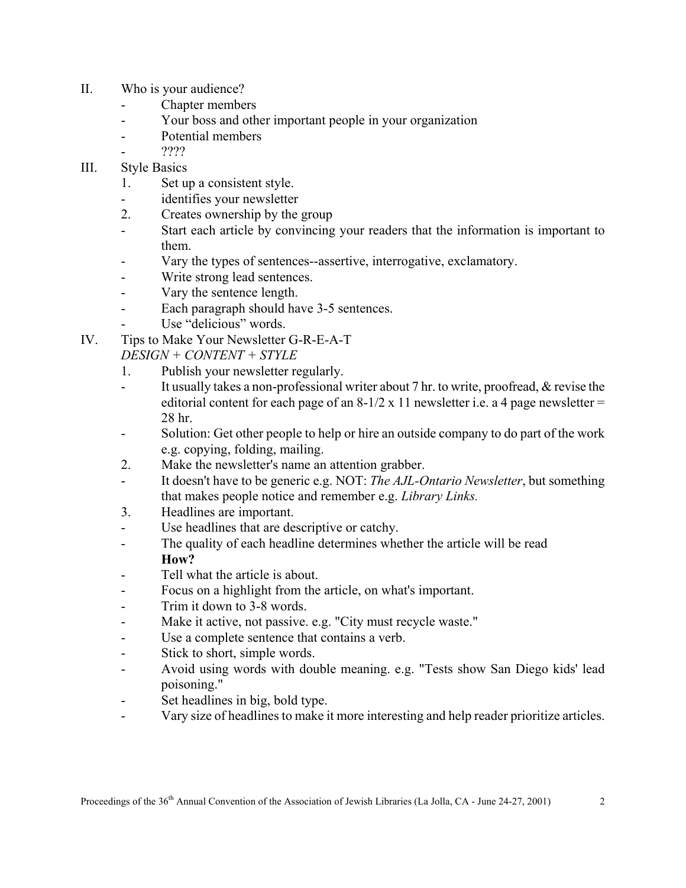- II. Who is your audience?
	- Chapter members
	- Your boss and other important people in your organization
	- Potential members
		- ????

# III. Style Basics

- 1. Set up a consistent style.
- identifies your newsletter
- 2. Creates ownership by the group
- Start each article by convincing your readers that the information is important to them.
- Vary the types of sentences--assertive, interrogative, exclamatory.
- Write strong lead sentences.
- Vary the sentence length.
- Each paragraph should have 3-5 sentences.
- Use "delicious" words.
- IV. Tips to Make Your Newsletter G-R-E-A-T

*DESIGN + CONTENT + STYLE*

- 1. Publish your newsletter regularly.
- It usually takes a non-professional writer about 7 hr. to write, proofread, & revise the editorial content for each page of an  $8-1/2 \times 11$  newsletter i.e. a 4 page newsletter = 28 hr.
- Solution: Get other people to help or hire an outside company to do part of the work e.g. copying, folding, mailing.
- 2. Make the newsletter's name an attention grabber.
- It doesn't have to be generic e.g. NOT: *The AJL-Ontario Newsletter*, but something that makes people notice and remember e.g. *Library Links.*
- 3. Headlines are important.
- Use headlines that are descriptive or catchy.
- The quality of each headline determines whether the article will be read **How?**
- Tell what the article is about.
- Focus on a highlight from the article, on what's important.
- Trim it down to 3-8 words.
- Make it active, not passive. e.g. "City must recycle waste."
- Use a complete sentence that contains a verb.
- Stick to short, simple words.
- Avoid using words with double meaning. e.g. "Tests show San Diego kids' lead poisoning."
- Set headlines in big, bold type.
- Vary size of headlines to make it more interesting and help reader prioritize articles.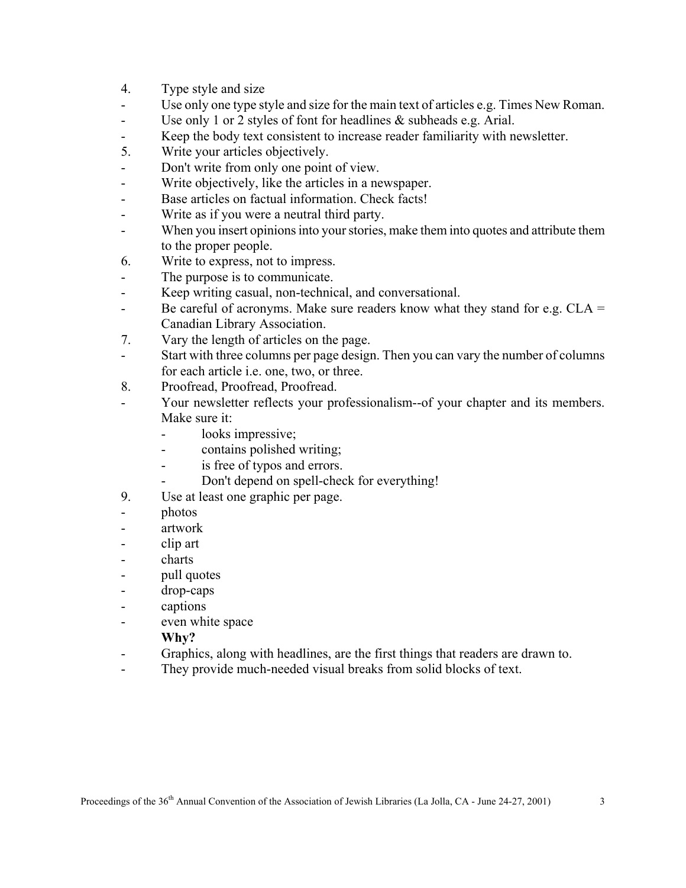- 4. Type style and size
- Use only one type style and size for the main text of articles e.g. Times New Roman.
- Use only 1 or 2 styles of font for headlines & subheads e.g. Arial.
- Keep the body text consistent to increase reader familiarity with newsletter.
- 5. Write your articles objectively.
- Don't write from only one point of view.
- Write objectively, like the articles in a newspaper.
- Base articles on factual information. Check facts!
- Write as if you were a neutral third party.
- When you insert opinions into your stories, make them into quotes and attribute them to the proper people.
- 6. Write to express, not to impress.
- The purpose is to communicate.
- Keep writing casual, non-technical, and conversational.
- Be careful of acronyms. Make sure readers know what they stand for e.g.  $CLA =$ Canadian Library Association.
- 7. Vary the length of articles on the page.
- Start with three columns per page design. Then you can vary the number of columns for each article i.e. one, two, or three.
- 8. Proofread, Proofread, Proofread.
- Your newsletter reflects your professionalism--of your chapter and its members. Make sure it:
	- looks impressive;
	- contains polished writing;
	- is free of typos and errors.
		- Don't depend on spell-check for everything!
- 9. Use at least one graphic per page.
- photos
- artwork
- clip art
- charts
- pull quotes
- drop-caps
- captions
- even white space
	- **Why?**
- Graphics, along with headlines, are the first things that readers are drawn to.
- They provide much-needed visual breaks from solid blocks of text.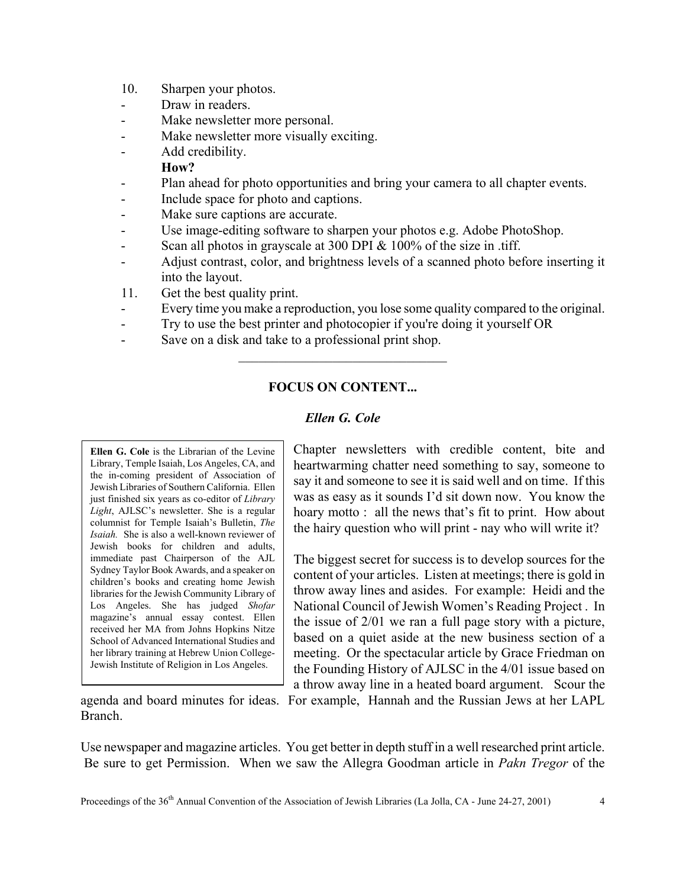- 10. Sharpen your photos.
- Draw in readers.
- Make newsletter more personal.
- Make newsletter more visually exciting.
- Add credibility.

### **How?**

- Plan ahead for photo opportunities and bring your camera to all chapter events.
- Include space for photo and captions.
- Make sure captions are accurate.
- Use image-editing software to sharpen your photos e.g. Adobe PhotoShop.
- Scan all photos in grayscale at 300 DPI & 100% of the size in .tiff.
- Adjust contrast, color, and brightness levels of a scanned photo before inserting it into the layout.
- 11. Get the best quality print.
- Every time you make a reproduction, you lose some quality compared to the original.
- Try to use the best printer and photocopier if you're doing it yourself OR
- Save on a disk and take to a professional print shop.

# **FOCUS ON CONTENT...**

 $\mathcal{L}_\text{max}$  , where  $\mathcal{L}_\text{max}$  and  $\mathcal{L}_\text{max}$ 

## *Ellen G. Cole*

**Ellen G. Cole** is the Librarian of the Levine Library, Temple Isaiah, Los Angeles, CA, and the in-coming president of Association of Jewish Libraries of Southern California. Ellen just finished six years as co-editor of *Library Light*, AJLSC's newsletter. She is a regular columnist for Temple Isaiah's Bulletin, *The Isaiah.* She is also a well-known reviewer of Jewish books for children and adults, immediate past Chairperson of the AJL Sydney Taylor Book Awards, and a speaker on children's books and creating home Jewish libraries for the Jewish Community Library of Los Angeles. She has judged *Shofar* magazine's annual essay contest. Ellen received her MA from Johns Hopkins Nitze School of Advanced International Studies and her library training at Hebrew Union College-Jewish Institute of Religion in Los Angeles.

Chapter newsletters with credible content, bite and heartwarming chatter need something to say, someone to say it and someone to see it is said well and on time. If this was as easy as it sounds I'd sit down now. You know the hoary motto : all the news that's fit to print. How about the hairy question who will print - nay who will write it?

The biggest secret for success is to develop sources for the content of your articles. Listen at meetings; there is gold in throw away lines and asides. For example: Heidi and the National Council of Jewish Women's Reading Project . In the issue of 2/01 we ran a full page story with a picture, based on a quiet aside at the new business section of a meeting. Or the spectacular article by Grace Friedman on the Founding History of AJLSC in the 4/01 issue based on a throw away line in a heated board argument. Scour the

agenda and board minutes for ideas. For example, Hannah and the Russian Jews at her LAPL Branch.

Use newspaper and magazine articles. You get better in depth stuff in a well researched print article. Be sure to get Permission. When we saw the Allegra Goodman article in *Pakn Tregor* of the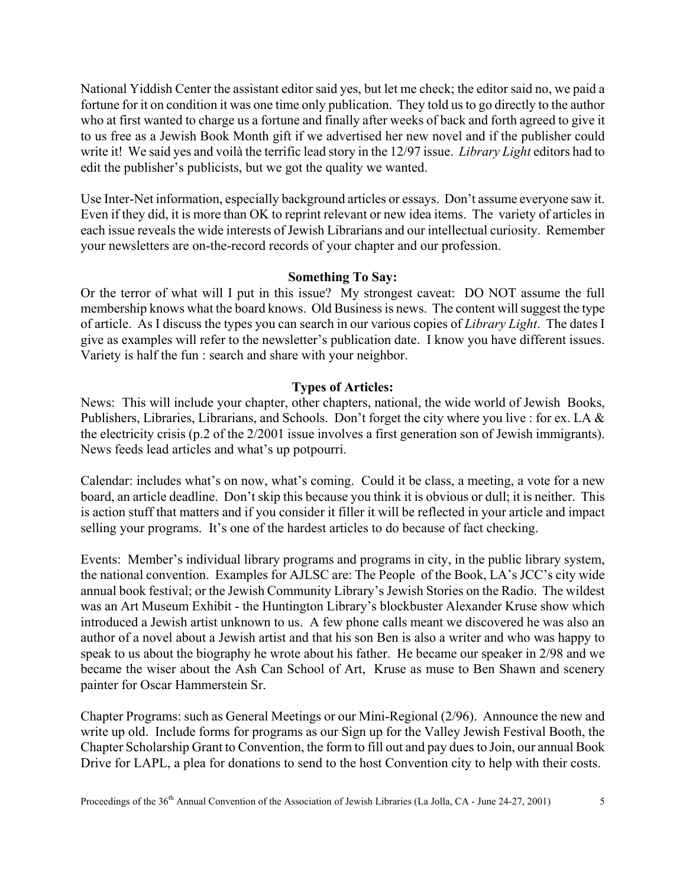National Yiddish Center the assistant editor said yes, but let me check; the editor said no, we paid a fortune for it on condition it was one time only publication. They told us to go directly to the author who at first wanted to charge us a fortune and finally after weeks of back and forth agreed to give it to us free as a Jewish Book Month gift if we advertised her new novel and if the publisher could write it! We said yes and voilà the terrific lead story in the 12/97 issue. *Library Light* editors had to edit the publisher's publicists, but we got the quality we wanted.

Use Inter-Net information, especially background articles or essays. Don't assume everyone saw it. Even if they did, it is more than OK to reprint relevant or new idea items. The variety of articles in each issue reveals the wide interests of Jewish Librarians and our intellectual curiosity. Remember your newsletters are on-the-record records of your chapter and our profession.

### **Something To Say:**

Or the terror of what will I put in this issue? My strongest caveat: DO NOT assume the full membership knows what the board knows. Old Business is news. The content will suggest the type of article. As I discuss the types you can search in our various copies of *Library Light*. The dates I give as examples will refer to the newsletter's publication date. I know you have different issues. Variety is half the fun : search and share with your neighbor.

## **Types of Articles:**

News: This will include your chapter, other chapters, national, the wide world of Jewish Books, Publishers, Libraries, Librarians, and Schools. Don't forget the city where you live : for ex. LA & the electricity crisis (p.2 of the 2/2001 issue involves a first generation son of Jewish immigrants). News feeds lead articles and what's up potpourri.

Calendar: includes what's on now, what's coming. Could it be class, a meeting, a vote for a new board, an article deadline. Don't skip this because you think it is obvious or dull; it is neither. This is action stuff that matters and if you consider it filler it will be reflected in your article and impact selling your programs. It's one of the hardest articles to do because of fact checking.

Events: Member's individual library programs and programs in city, in the public library system, the national convention. Examples for AJLSC are: The People of the Book, LA's JCC's city wide annual book festival; or the Jewish Community Library's Jewish Stories on the Radio. The wildest was an Art Museum Exhibit - the Huntington Library's blockbuster Alexander Kruse show which introduced a Jewish artist unknown to us. A few phone calls meant we discovered he was also an author of a novel about a Jewish artist and that his son Ben is also a writer and who was happy to speak to us about the biography he wrote about his father. He became our speaker in 2/98 and we became the wiser about the Ash Can School of Art, Kruse as muse to Ben Shawn and scenery painter for Oscar Hammerstein Sr.

Chapter Programs: such as General Meetings or our Mini-Regional (2/96). Announce the new and write up old. Include forms for programs as our Sign up for the Valley Jewish Festival Booth, the Chapter Scholarship Grant to Convention, the form to fill out and pay dues to Join, our annual Book Drive for LAPL, a plea for donations to send to the host Convention city to help with their costs.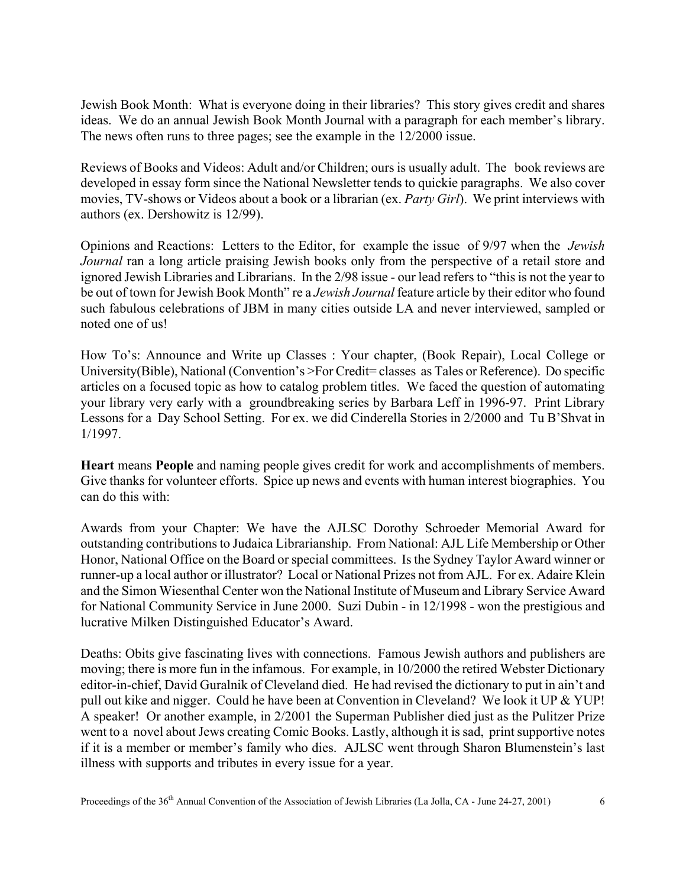Jewish Book Month: What is everyone doing in their libraries? This story gives credit and shares ideas. We do an annual Jewish Book Month Journal with a paragraph for each member's library. The news often runs to three pages; see the example in the 12/2000 issue.

Reviews of Books and Videos: Adult and/or Children; ours is usually adult. The book reviews are developed in essay form since the National Newsletter tends to quickie paragraphs. We also cover movies, TV-shows or Videos about a book or a librarian (ex. *Party Girl*). We print interviews with authors (ex. Dershowitz is 12/99).

Opinions and Reactions: Letters to the Editor, for example the issue of 9/97 when the *Jewish Journal* ran a long article praising Jewish books only from the perspective of a retail store and ignored Jewish Libraries and Librarians. In the 2/98 issue - our lead refers to "this is not the year to be out of town for Jewish Book Month" re a *Jewish Journal* feature article by their editor who found such fabulous celebrations of JBM in many cities outside LA and never interviewed, sampled or noted one of us!

How To's: Announce and Write up Classes : Your chapter, (Book Repair), Local College or University(Bible), National (Convention's >For Credit= classes as Tales or Reference). Do specific articles on a focused topic as how to catalog problem titles. We faced the question of automating your library very early with a groundbreaking series by Barbara Leff in 1996-97. Print Library Lessons for a Day School Setting. For ex. we did Cinderella Stories in 2/2000 and Tu B'Shvat in 1/1997.

**Heart** means **People** and naming people gives credit for work and accomplishments of members. Give thanks for volunteer efforts. Spice up news and events with human interest biographies. You can do this with:

Awards from your Chapter: We have the AJLSC Dorothy Schroeder Memorial Award for outstanding contributions to Judaica Librarianship. From National: AJL Life Membership or Other Honor, National Office on the Board or special committees. Is the Sydney Taylor Award winner or runner-up a local author or illustrator? Local or National Prizes not from AJL. For ex. Adaire Klein and the Simon Wiesenthal Center won the National Institute of Museum and Library Service Award for National Community Service in June 2000. Suzi Dubin - in 12/1998 - won the prestigious and lucrative Milken Distinguished Educator's Award.

Deaths: Obits give fascinating lives with connections. Famous Jewish authors and publishers are moving; there is more fun in the infamous. For example, in 10/2000 the retired Webster Dictionary editor-in-chief, David Guralnik of Cleveland died. He had revised the dictionary to put in ain't and pull out kike and nigger. Could he have been at Convention in Cleveland? We look it UP & YUP! A speaker! Or another example, in 2/2001 the Superman Publisher died just as the Pulitzer Prize went to a novel about Jews creating Comic Books. Lastly, although it is sad, print supportive notes if it is a member or member's family who dies. AJLSC went through Sharon Blumenstein's last illness with supports and tributes in every issue for a year.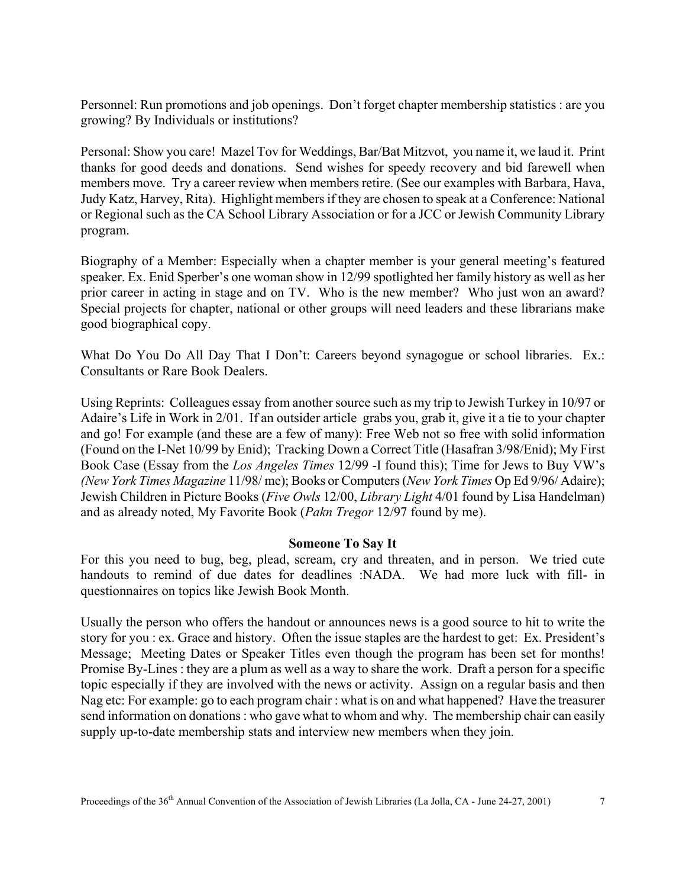Personnel: Run promotions and job openings. Don't forget chapter membership statistics : are you growing? By Individuals or institutions?

Personal: Show you care! Mazel Tov for Weddings, Bar/Bat Mitzvot, you name it, we laud it. Print thanks for good deeds and donations. Send wishes for speedy recovery and bid farewell when members move. Try a career review when members retire. (See our examples with Barbara, Hava, Judy Katz, Harvey, Rita). Highlight members if they are chosen to speak at a Conference: National or Regional such as the CA School Library Association or for a JCC or Jewish Community Library program.

Biography of a Member: Especially when a chapter member is your general meeting's featured speaker. Ex. Enid Sperber's one woman show in 12/99 spotlighted her family history as well as her prior career in acting in stage and on TV. Who is the new member? Who just won an award? Special projects for chapter, national or other groups will need leaders and these librarians make good biographical copy.

What Do You Do All Day That I Don't: Careers beyond synagogue or school libraries. Ex.: Consultants or Rare Book Dealers.

Using Reprints: Colleagues essay from another source such as my trip to Jewish Turkey in 10/97 or Adaire's Life in Work in 2/01. If an outsider article grabs you, grab it, give it a tie to your chapter and go! For example (and these are a few of many): Free Web not so free with solid information (Found on the I-Net 10/99 by Enid); Tracking Down a Correct Title (Hasafran 3/98/Enid); My First Book Case (Essay from the *Los Angeles Times* 12/99 -I found this); Time for Jews to Buy VW's *(New York Times Magazine* 11/98/ me); Books or Computers (*New York Times* Op Ed 9/96/ Adaire); Jewish Children in Picture Books (*Five Owls* 12/00, *Library Light* 4/01 found by Lisa Handelman) and as already noted, My Favorite Book (*Pakn Tregor* 12/97 found by me).

### **Someone To Say It**

For this you need to bug, beg, plead, scream, cry and threaten, and in person. We tried cute handouts to remind of due dates for deadlines :NADA. We had more luck with fill- in questionnaires on topics like Jewish Book Month.

Usually the person who offers the handout or announces news is a good source to hit to write the story for you : ex. Grace and history. Often the issue staples are the hardest to get: Ex. President's Message; Meeting Dates or Speaker Titles even though the program has been set for months! Promise By-Lines : they are a plum as well as a way to share the work. Draft a person for a specific topic especially if they are involved with the news or activity. Assign on a regular basis and then Nag etc: For example: go to each program chair : what is on and what happened? Have the treasurer send information on donations : who gave what to whom and why. The membership chair can easily supply up-to-date membership stats and interview new members when they join.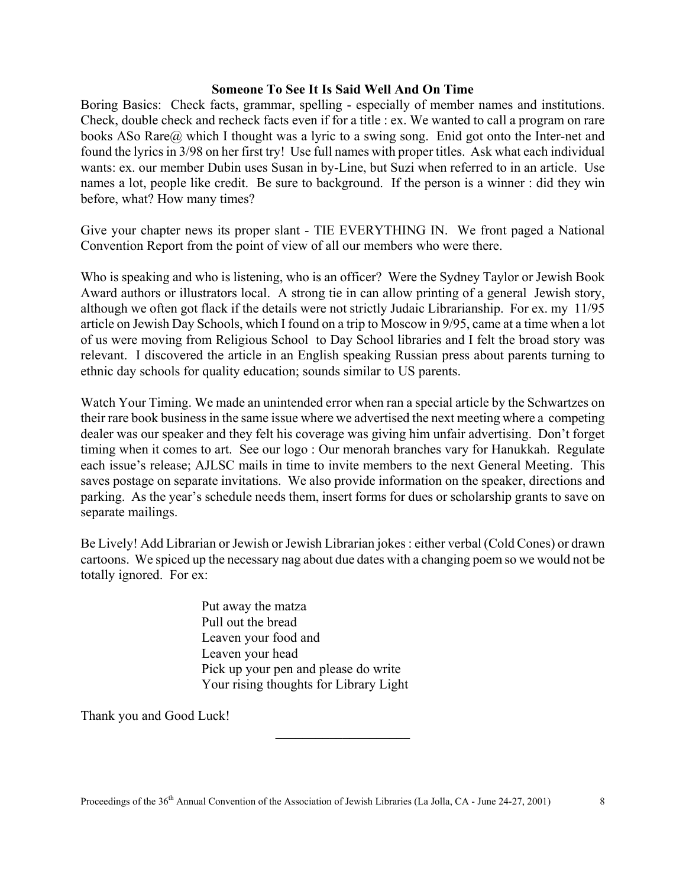### **Someone To See It Is Said Well And On Time**

Boring Basics: Check facts, grammar, spelling - especially of member names and institutions. Check, double check and recheck facts even if for a title : ex. We wanted to call a program on rare books ASo Rare@ which I thought was a lyric to a swing song. Enid got onto the Inter-net and found the lyrics in 3/98 on her first try! Use full names with proper titles. Ask what each individual wants: ex. our member Dubin uses Susan in by-Line, but Suzi when referred to in an article. Use names a lot, people like credit. Be sure to background. If the person is a winner : did they win before, what? How many times?

Give your chapter news its proper slant - TIE EVERYTHING IN. We front paged a National Convention Report from the point of view of all our members who were there.

Who is speaking and who is listening, who is an officer? Were the Sydney Taylor or Jewish Book Award authors or illustrators local. A strong tie in can allow printing of a general Jewish story, although we often got flack if the details were not strictly Judaic Librarianship. For ex. my 11/95 article on Jewish Day Schools, which I found on a trip to Moscow in 9/95, came at a time when a lot of us were moving from Religious School to Day School libraries and I felt the broad story was relevant. I discovered the article in an English speaking Russian press about parents turning to ethnic day schools for quality education; sounds similar to US parents.

Watch Your Timing. We made an unintended error when ran a special article by the Schwartzes on their rare book business in the same issue where we advertised the next meeting where a competing dealer was our speaker and they felt his coverage was giving him unfair advertising. Don't forget timing when it comes to art. See our logo : Our menorah branches vary for Hanukkah. Regulate each issue's release; AJLSC mails in time to invite members to the next General Meeting. This saves postage on separate invitations. We also provide information on the speaker, directions and parking. As the year's schedule needs them, insert forms for dues or scholarship grants to save on separate mailings.

Be Lively! Add Librarian or Jewish or Jewish Librarian jokes : either verbal (Cold Cones) or drawn cartoons. We spiced up the necessary nag about due dates with a changing poem so we would not be totally ignored. For ex:

 $\mathcal{L}_\text{max}$ 

Put away the matza Pull out the bread Leaven your food and Leaven your head Pick up your pen and please do write Your rising thoughts for Library Light

Thank you and Good Luck!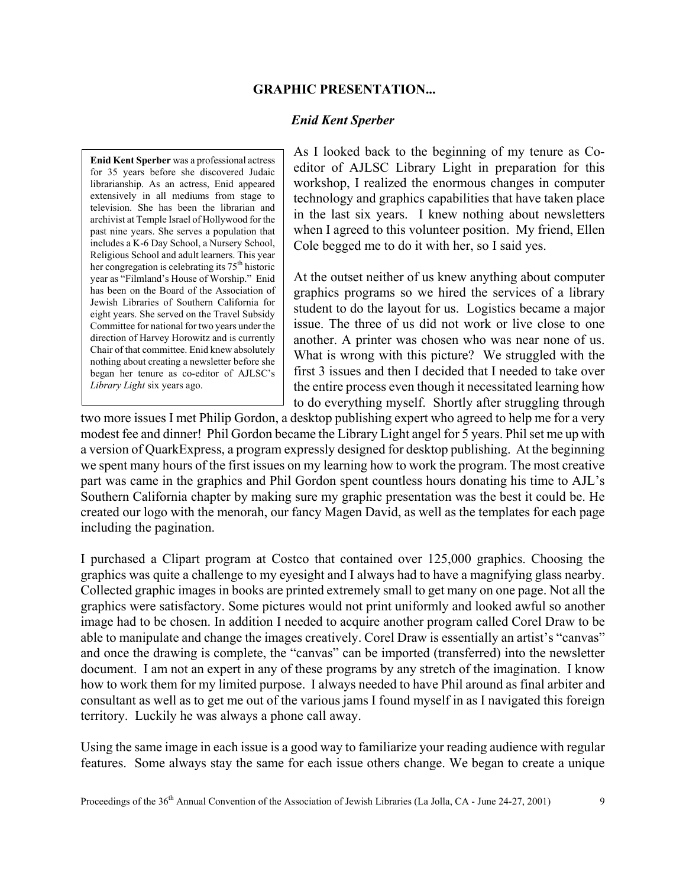### **GRAPHIC PRESENTATION...**

### *Enid Kent Sperber*

**Enid Kent Sperber** was a professional actress for 35 years before she discovered Judaic librarianship. As an actress, Enid appeared extensively in all mediums from stage to television. She has been the librarian and archivist at Temple Israel of Hollywood for the past nine years. She serves a population that includes a K-6 Day School, a Nursery School, Religious School and adult learners. This year her congregation is celebrating its 75th historic year as "Filmland's House of Worship." Enid has been on the Board of the Association of Jewish Libraries of Southern California for eight years. She served on the Travel Subsidy Committee for national for two years under the direction of Harvey Horowitz and is currently Chair of that committee. Enid knew absolutely nothing about creating a newsletter before she began her tenure as co-editor of AJLSC's *Library Light* six years ago.

As I looked back to the beginning of my tenure as Coeditor of AJLSC Library Light in preparation for this workshop, I realized the enormous changes in computer technology and graphics capabilities that have taken place in the last six years. I knew nothing about newsletters when I agreed to this volunteer position. My friend, Ellen Cole begged me to do it with her, so I said yes.

At the outset neither of us knew anything about computer graphics programs so we hired the services of a library student to do the layout for us. Logistics became a major issue. The three of us did not work or live close to one another. A printer was chosen who was near none of us. What is wrong with this picture? We struggled with the first 3 issues and then I decided that I needed to take over the entire process even though it necessitated learning how to do everything myself. Shortly after struggling through

two more issues I met Philip Gordon, a desktop publishing expert who agreed to help me for a very modest fee and dinner! Phil Gordon became the Library Light angel for 5 years. Phil set me up with a version of QuarkExpress, a program expressly designed for desktop publishing. At the beginning we spent many hours of the first issues on my learning how to work the program. The most creative part was came in the graphics and Phil Gordon spent countless hours donating his time to AJL's Southern California chapter by making sure my graphic presentation was the best it could be. He created our logo with the menorah, our fancy Magen David, as well as the templates for each page including the pagination.

I purchased a Clipart program at Costco that contained over 125,000 graphics. Choosing the graphics was quite a challenge to my eyesight and I always had to have a magnifying glass nearby. Collected graphic images in books are printed extremely small to get many on one page. Not all the graphics were satisfactory. Some pictures would not print uniformly and looked awful so another image had to be chosen. In addition I needed to acquire another program called Corel Draw to be able to manipulate and change the images creatively. Corel Draw is essentially an artist's "canvas" and once the drawing is complete, the "canvas" can be imported (transferred) into the newsletter document. I am not an expert in any of these programs by any stretch of the imagination. I know how to work them for my limited purpose. I always needed to have Phil around as final arbiter and consultant as well as to get me out of the various jams I found myself in as I navigated this foreign territory. Luckily he was always a phone call away.

Using the same image in each issue is a good way to familiarize your reading audience with regular features. Some always stay the same for each issue others change. We began to create a unique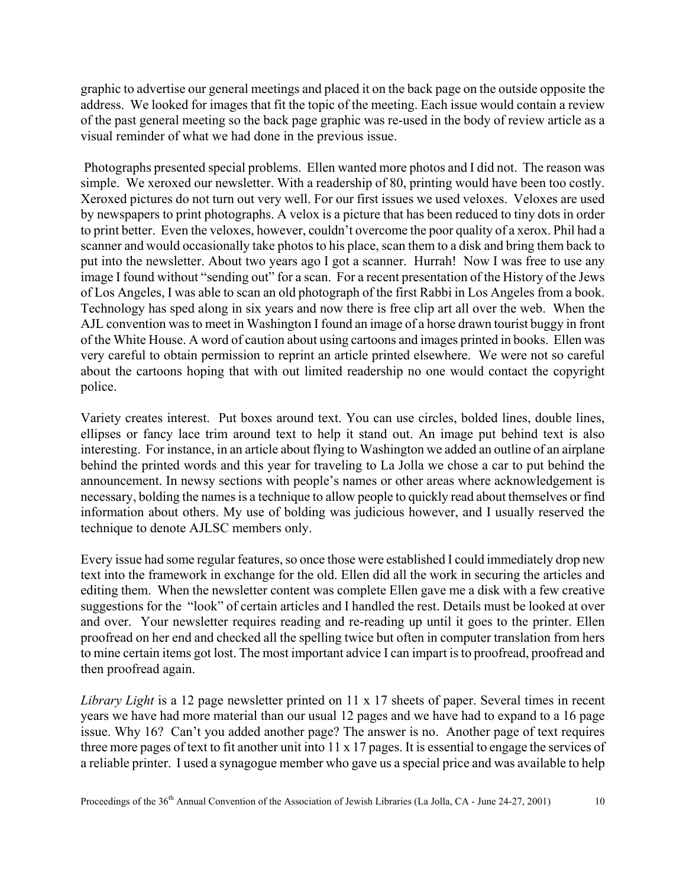graphic to advertise our general meetings and placed it on the back page on the outside opposite the address. We looked for images that fit the topic of the meeting. Each issue would contain a review of the past general meeting so the back page graphic was re-used in the body of review article as a visual reminder of what we had done in the previous issue.

 Photographs presented special problems. Ellen wanted more photos and I did not. The reason was simple. We xeroxed our newsletter. With a readership of 80, printing would have been too costly. Xeroxed pictures do not turn out very well. For our first issues we used veloxes. Veloxes are used by newspapers to print photographs. A velox is a picture that has been reduced to tiny dots in order to print better. Even the veloxes, however, couldn't overcome the poor quality of a xerox. Phil had a scanner and would occasionally take photos to his place, scan them to a disk and bring them back to put into the newsletter. About two years ago I got a scanner. Hurrah! Now I was free to use any image I found without "sending out" for a scan. For a recent presentation of the History of the Jews of Los Angeles, I was able to scan an old photograph of the first Rabbi in Los Angeles from a book. Technology has sped along in six years and now there is free clip art all over the web. When the AJL convention was to meet in Washington I found an image of a horse drawn tourist buggy in front of the White House. A word of caution about using cartoons and images printed in books. Ellen was very careful to obtain permission to reprint an article printed elsewhere. We were not so careful about the cartoons hoping that with out limited readership no one would contact the copyright police.

Variety creates interest. Put boxes around text. You can use circles, bolded lines, double lines, ellipses or fancy lace trim around text to help it stand out. An image put behind text is also interesting. For instance, in an article about flying to Washington we added an outline of an airplane behind the printed words and this year for traveling to La Jolla we chose a car to put behind the announcement. In newsy sections with people's names or other areas where acknowledgement is necessary, bolding the names is a technique to allow people to quickly read about themselves or find information about others. My use of bolding was judicious however, and I usually reserved the technique to denote AJLSC members only.

Every issue had some regular features, so once those were established I could immediately drop new text into the framework in exchange for the old. Ellen did all the work in securing the articles and editing them. When the newsletter content was complete Ellen gave me a disk with a few creative suggestions for the "look" of certain articles and I handled the rest. Details must be looked at over and over. Your newsletter requires reading and re-reading up until it goes to the printer. Ellen proofread on her end and checked all the spelling twice but often in computer translation from hers to mine certain items got lost. The most important advice I can impart is to proofread, proofread and then proofread again.

*Library Light* is a 12 page newsletter printed on 11 x 17 sheets of paper. Several times in recent years we have had more material than our usual 12 pages and we have had to expand to a 16 page issue. Why 16? Can't you added another page? The answer is no. Another page of text requires three more pages of text to fit another unit into 11 x 17 pages. It is essential to engage the services of a reliable printer. I used a synagogue member who gave us a special price and was available to help